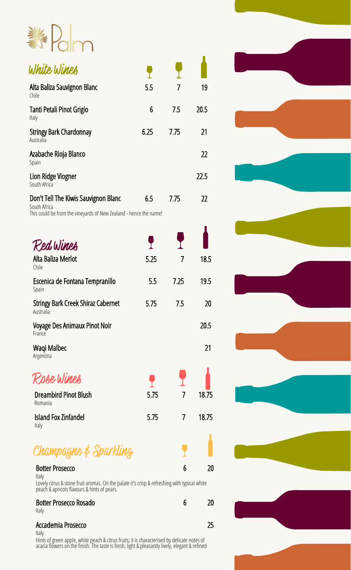

| White Wines                                                                                                               |      |                          |       |
|---------------------------------------------------------------------------------------------------------------------------|------|--------------------------|-------|
| Alta Baliza Sauvignon Blanc<br>Chile                                                                                      | 5.5  | 7                        | 19    |
| Tanti Petali Pinot Grigio<br>Italy                                                                                        | 6    | 7.5                      | 20.5  |
| <b>Stringy Bark Chardonnay</b><br>Australia                                                                               | 6.25 | 7.75                     | 21    |
| Azabache Rioja Blanco<br>Spain                                                                                            |      |                          | 22    |
| Lion Ridge Viogner<br>South Africa                                                                                        |      |                          | 22.5  |
| Don't Tell The Kiwis Sauvignon Blanc<br>South Africa<br>This could be from the vineyards of New Zealand - hence the name! | 6.5  | 7.75                     | 22    |
| Red Wines                                                                                                                 |      |                          |       |
| Alta Baliza Merlot<br>Chile                                                                                               | 5.25 | $\overline{\mathcal{L}}$ | 18.5  |
| Escenica de Fontana Tempranillo<br>Spain                                                                                  | 5.5  | 7.25                     | 19.5  |
| <b>Stringy Bark Creek Shiraz Cabernet</b><br>Australia                                                                    | 5.75 | 7.5                      | 20    |
| <b>Voyage Des Animaux Pinot Noir</b><br>France                                                                            |      |                          | 20.5  |
| Waqi Malbec<br>Argentina                                                                                                  |      |                          | 21    |
| Rose Wines                                                                                                                |      |                          |       |
| <b>Dreambird Pinot Blush</b><br>Romania                                                                                   | 5.75 | 7                        | 18.75 |
| <b>Island Fox Zinfandel</b><br>Italy                                                                                      | 5.75 | 7                        | 18.75 |
| Champagne & Sparkling                                                                                                     |      |                          |       |
| <b>Botter Prosecco</b>                                                                                                    |      | 6                        | 20    |



Lovely citrus & stone fruit aromas. On the palate it's crisp & refreshing with typical white peach & apricots flavours & hints of pears.

#### Botter Prosecco Rosado 6 20 Italy

## Accademia Prosecco 25

Italy Hints of green apple, white peach & citrus fruits; it is characterised by delicate notes of acacia flõwers on the finish. The taste is fresh, light & pleasantly lively, elegant & refined